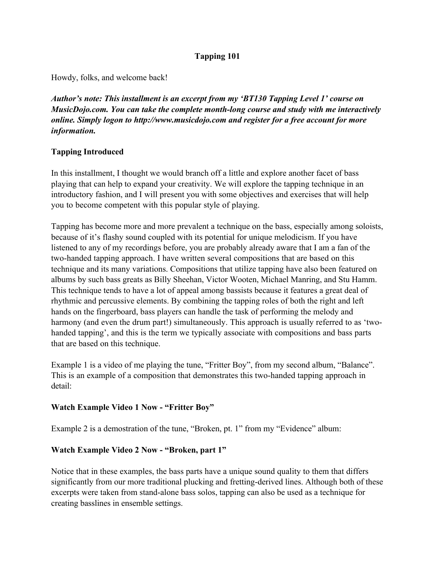## **Tapping 101**

Howdy, folks, and welcome back!

*Author's note: This installment is an excerpt from my 'BT130 Tapping Level 1' course on MusicDojo.com. You can take the complete month-long course and study with me interactively online. Simply logon to http://www.musicdojo.com and register for a free account for more information.*

# **Tapping Introduced**

In this installment, I thought we would branch off a little and explore another facet of bass playing that can help to expand your creativity. We will explore the tapping technique in an introductory fashion, and I will present you with some objectives and exercises that will help you to become competent with this popular style of playing.

Tapping has become more and more prevalent a technique on the bass, especially among soloists, because of it's flashy sound coupled with its potential for unique melodicism. If you have listened to any of my recordings before, you are probably already aware that I am a fan of the two-handed tapping approach. I have written several compositions that are based on this technique and its many variations. Compositions that utilize tapping have also been featured on albums by such bass greats as Billy Sheehan, Victor Wooten, Michael Manring, and Stu Hamm. This technique tends to have a lot of appeal among bassists because it features a great deal of rhythmic and percussive elements. By combining the tapping roles of both the right and left hands on the fingerboard, bass players can handle the task of performing the melody and harmony (and even the drum part!) simultaneously. This approach is usually referred to as 'twohanded tapping', and this is the term we typically associate with compositions and bass parts that are based on this technique.

Example 1 is a video of me playing the tune, "Fritter Boy", from my second album, "Balance". This is an example of a composition that demonstrates this two-handed tapping approach in detail:

# **Watch Example Video 1 Now - "Fritter Boy"**

Example 2 is a demostration of the tune, "Broken, pt. 1" from my "Evidence" album:

## **Watch Example Video 2 Now - "Broken, part 1"**

Notice that in these examples, the bass parts have a unique sound quality to them that differs significantly from our more traditional plucking and fretting-derived lines. Although both of these excerpts were taken from stand-alone bass solos, tapping can also be used as a technique for creating basslines in ensemble settings.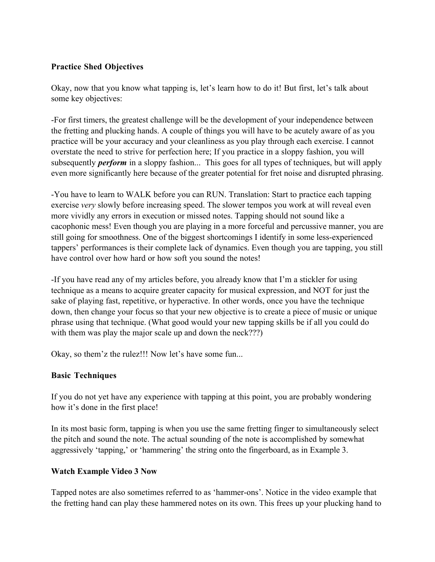## **Practice Shed Objectives**

Okay, now that you know what tapping is, let's learn how to do it! But first, let's talk about some key objectives:

-For first timers, the greatest challenge will be the development of your independence between the fretting and plucking hands. A couple of things you will have to be acutely aware of as you practice will be your accuracy and your cleanliness as you play through each exercise. I cannot overstate the need to strive for perfection here; If you practice in a sloppy fashion, you will subsequently *perform* in a sloppy fashion... This goes for all types of techniques, but will apply even more significantly here because of the greater potential for fret noise and disrupted phrasing.

-You have to learn to WALK before you can RUN. Translation: Start to practice each tapping exercise *very* slowly before increasing speed. The slower tempos you work at will reveal even more vividly any errors in execution or missed notes. Tapping should not sound like a cacophonic mess! Even though you are playing in a more forceful and percussive manner, you are still going for smoothness. One of the biggest shortcomings I identify in some less-experienced tappers' performances is their complete lack of dynamics. Even though you are tapping, you still have control over how hard or how soft you sound the notes!

-If you have read any of my articles before, you already know that I'm a stickler for using technique as a means to acquire greater capacity for musical expression, and NOT for just the sake of playing fast, repetitive, or hyperactive. In other words, once you have the technique down, then change your focus so that your new objective is to create a piece of music or unique phrase using that technique. (What good would your new tapping skills be if all you could do with them was play the major scale up and down the neck???)

Okay, so them'z the rulez!!! Now let's have some fun...

## **Basic Techniques**

If you do not yet have any experience with tapping at this point, you are probably wondering how it's done in the first place!

In its most basic form, tapping is when you use the same fretting finger to simultaneously select the pitch and sound the note. The actual sounding of the note is accomplished by somewhat aggressively 'tapping,' or 'hammering' the string onto the fingerboard, as in Example 3.

## **Watch Example Video 3 Now**

Tapped notes are also sometimes referred to as 'hammer-ons'. Notice in the video example that the fretting hand can play these hammered notes on its own. This frees up your plucking hand to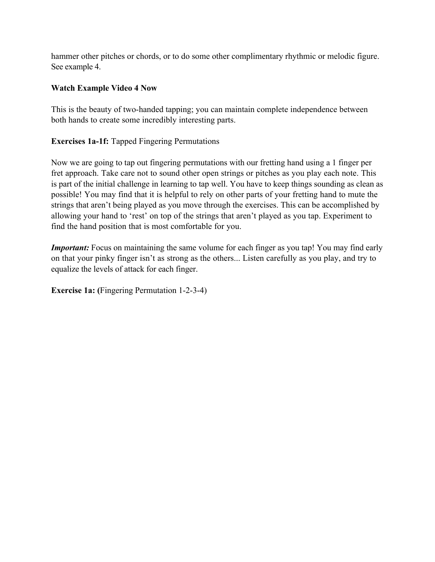hammer other pitches or chords, or to do some other complimentary rhythmic or melodic figure. See example 4.

## **Watch Example Video 4 Now**

This is the beauty of two-handed tapping; you can maintain complete independence between both hands to create some incredibly interesting parts.

**Exercises 1a-1f:** Tapped Fingering Permutations

Now we are going to tap out fingering permutations with our fretting hand using a 1 finger per fret approach. Take care not to sound other open strings or pitches as you play each note. This is part of the initial challenge in learning to tap well. You have to keep things sounding as clean as possible! You may find that it is helpful to rely on other parts of your fretting hand to mute the strings that aren't being played as you move through the exercises. This can be accomplished by allowing your hand to 'rest' on top of the strings that aren't played as you tap. Experiment to find the hand position that is most comfortable for you.

*Important:* Focus on maintaining the same volume for each finger as you tap! You may find early on that your pinky finger isn't as strong as the others... Listen carefully as you play, and try to equalize the levels of attack for each finger.

**Exercise 1a: (**Fingering Permutation 1-2-3-4)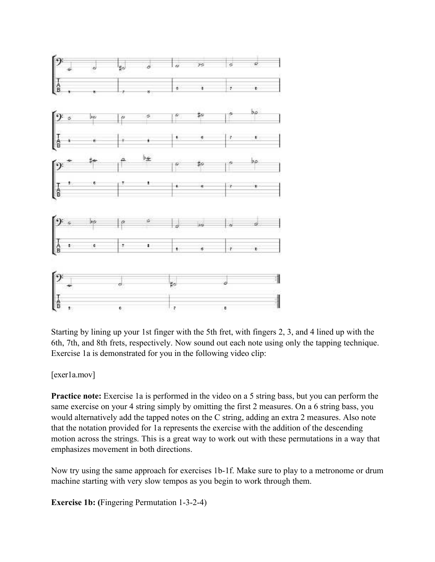

Starting by lining up your 1st finger with the 5th fret, with fingers 2, 3, and 4 lined up with the 6th, 7th, and 8th frets, respectively. Now sound out each note using only the tapping technique. Exercise 1a is demonstrated for you in the following video clip:

[exer1a.mov]

**Practice note:** Exercise 1a is performed in the video on a 5 string bass, but you can perform the same exercise on your 4 string simply by omitting the first 2 measures. On a 6 string bass, you would alternatively add the tapped notes on the C string, adding an extra 2 measures. Also note that the notation provided for 1a represents the exercise with the addition of the descending motion across the strings. This is a great way to work out with these permutations in a way that emphasizes movement in both directions.

Now try using the same approach for exercises 1b-1f. Make sure to play to a metronome or drum machine starting with very slow tempos as you begin to work through them.

**Exercise 1b: (**Fingering Permutation 1-3-2-4)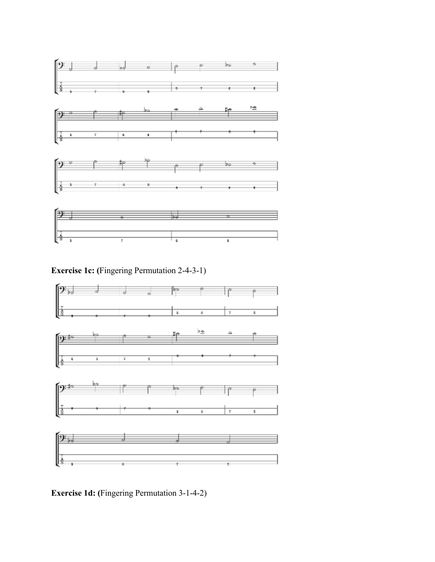

**Exercise 1c: (**Fingering Permutation 2-4-3-1)



**Exercise 1d: (**Fingering Permutation 3-1-4-2)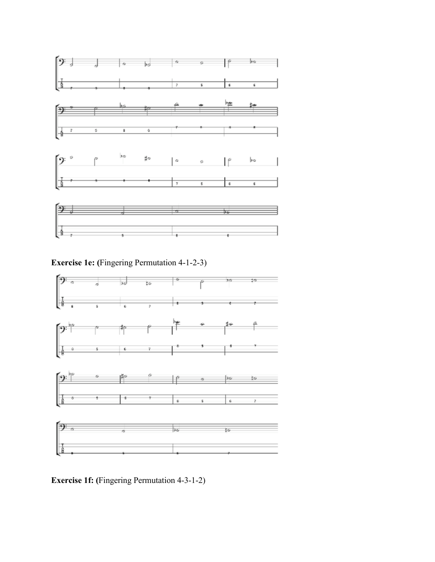

**Exercise 1e: (**Fingering Permutation 4-1-2-3)



**Exercise 1f: (**Fingering Permutation 4-3-1-2)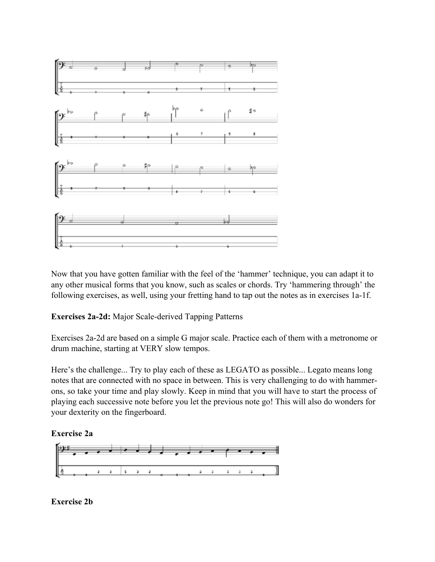

Now that you have gotten familiar with the feel of the 'hammer' technique, you can adapt it to any other musical forms that you know, such as scales or chords. Try 'hammering through' the following exercises, as well, using your fretting hand to tap out the notes as in exercises 1a-1f.

**Exercises 2a-2d:** Major Scale-derived Tapping Patterns

Exercises 2a-2d are based on a simple G major scale. Practice each of them with a metronome or drum machine, starting at VERY slow tempos.

Here's the challenge... Try to play each of these as LEGATO as possible... Legato means long notes that are connected with no space in between. This is very challenging to do with hammerons, so take your time and play slowly. Keep in mind that you will have to start the process of playing each successive note before you let the previous note go! This will also do wonders for your dexterity on the fingerboard.

## **Exercise 2a**



**Exercise 2b**